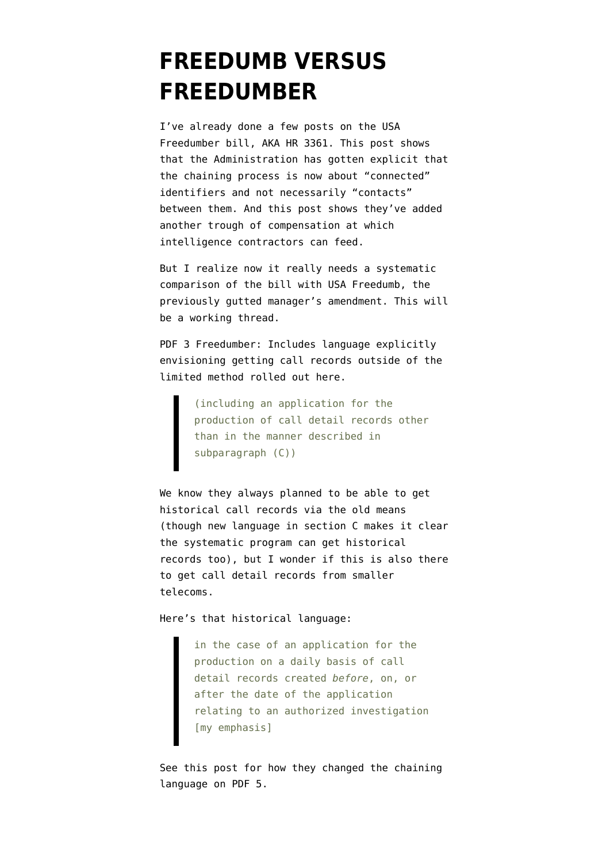## **[FREEDUMB VERSUS](https://www.emptywheel.net/2014/05/21/freedumb-versus-freedumber/) [FREEDUMBER](https://www.emptywheel.net/2014/05/21/freedumb-versus-freedumber/)**

I've already done a few posts on the [USA](https://s3.amazonaws.com/s3.documentcloud.org/documents/1164932/113h3361-flr-ans-001-xml.pdf) [Freedumber](https://s3.amazonaws.com/s3.documentcloud.org/documents/1164932/113h3361-flr-ans-001-xml.pdf) bill, AKA HR 3361. [This post](http://www.emptywheel.net/2014/05/20/the-administration-stops-pretending-phone-dragnet-about-contacts/) shows that the Administration has gotten explicit that the chaining process is now about "connected" identifiers and not necessarily "contacts" between them. And [this post](http://www.emptywheel.net/2014/05/20/new-improved-usa-freedumb-act-with-twice-the-contractors-compensated/) shows they've added another trough of compensation at which intelligence contractors can feed.

But I realize now it really needs a systematic comparison of the bill with [USA Freedumb,](http://judiciary.house.gov/_cache/files/1bd8f467-7ee2-4433-acac-c7bad2227d58/fisa-anos-002-xml.pdf) the previously gutted manager's amendment. This will be a working thread.

PDF 3 Freedumber: Includes language explicitly envisioning getting call records outside of the limited method rolled out here.

> (including an application for the production of call detail records other than in the manner described in subparagraph (C))

We know they always planned to be able to get historical call records via the old means (though new language in section C makes it clear the systematic program can get historical records too), but I wonder if this is also there to get call detail records from smaller telecoms.

Here's that historical language:

in the case of an application for the production on a daily basis of call detail records created *before*, on, or after the date of the application relating to an authorized investigation [my emphasis]

See [this post](http://www.emptywheel.net/2014/05/20/the-administration-stops-pretending-phone-dragnet-about-contacts/) for how they changed the chaining language on PDF 5.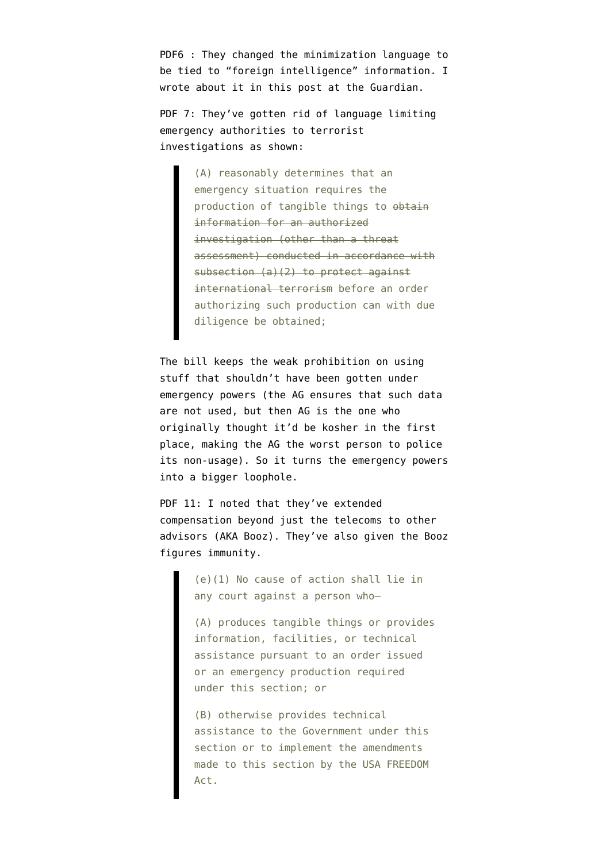PDF6 : They changed the minimization language to be tied to "foreign intelligence" information. I wrote about it in [this post at the Guardian](http://www.theguardian.com/commentisfree/2014/may/20/nsa-reform-bill-corporate-store-analysis).

PDF 7: They've gotten rid of language limiting emergency authorities to terrorist investigations as shown:

> (A) reasonably determines that an emergency situation requires the production of tangible things to obtain information for an authorized investigation (other than a threat assessment) conducted in accordance with subsection (a)(2) to protect against international terrorism before an order authorizing such production can with due diligence be obtained;

The bill keeps the weak prohibition on using stuff that shouldn't have been gotten under emergency powers (the AG ensures that such data are not used, but then AG is the one who originally thought it'd be kosher in the first place, making the AG the worst person to police its non-usage). So it turns the emergency powers into a bigger loophole.

PDF 11: I noted that they've extended compensation beyond just the telecoms to other advisors (AKA Booz). They've also given the Booz figures immunity.

> (e)(1) No cause of action shall lie in any court against a person who—

(A) produces tangible things or provides information, facilities, or technical assistance pursuant to an order issued or an emergency production required under this section; or

(B) otherwise provides technical assistance to the Government under this section or to implement the amendments made to this section by the USA FREEDOM Act.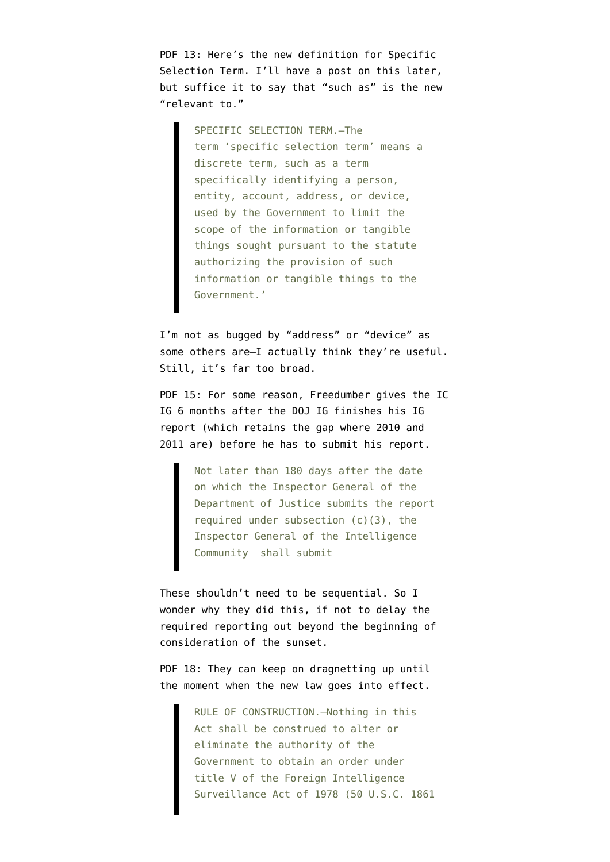PDF 13: Here's the new definition for Specific Selection Term. I'll have a post on this later, but suffice it to say that "such as" is the new "relevant to."

> SPECIFIC SELECTION TERM.—The term 'specific selection term' means a discrete term, such as a term specifically identifying a person, entity, account, address, or device, used by the Government to limit the scope of the information or tangible things sought pursuant to the statute authorizing the provision of such information or tangible things to the Government.'

I'm not as bugged by "address" or "device" as some others are–I actually think they're useful. Still, it's far too broad.

PDF 15: For some reason, Freedumber gives the IC IG 6 months after the DOJ IG finishes his IG report (which retains the gap where 2010 and 2011 are) before he has to submit his report.

> Not later than 180 days after the date on which the Inspector General of the Department of Justice submits the report required under subsection  $(c)(3)$ , the Inspector General of the Intelligence Community shall submit

These shouldn't need to be sequential. So I wonder why they did this, if not to delay the required reporting out beyond the beginning of consideration of the sunset.

PDF 18: They can keep on dragnetting up until the moment when the new law goes into effect.

> RULE OF CONSTRUCTION.—Nothing in this Act shall be construed to alter or eliminate the authority of the Government to obtain an order under title V of the Foreign Intelligence Surveillance Act of 1978 (50 U.S.C. 1861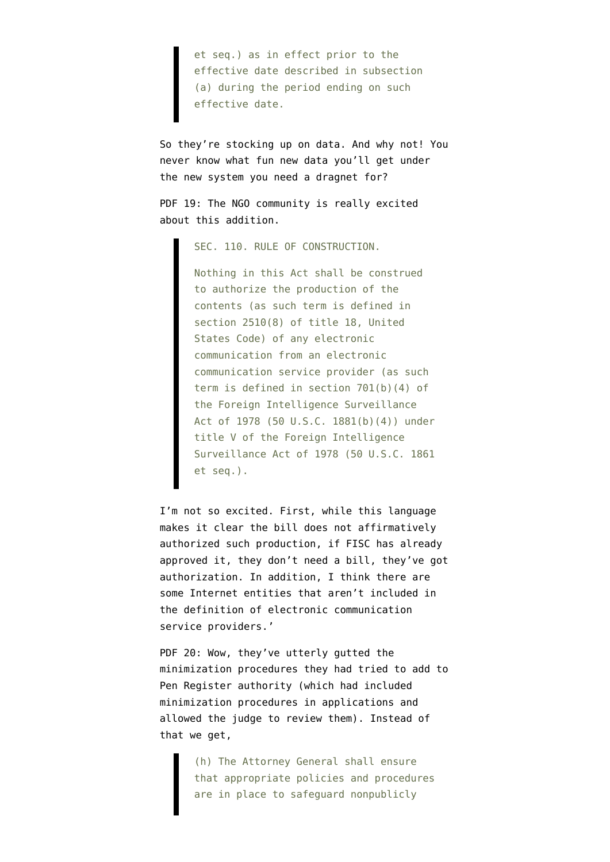et seq.) as in effect prior to the effective date described in subsection (a) during the period ending on such effective date.

So they're stocking up on data. And why not! You never know what fun new data you'll get under the new system you need a dragnet for?

PDF 19: The NGO community is really excited about this addition.

SEC. 110. RULE OF CONSTRUCTION.

Nothing in this Act shall be construed to authorize the production of the contents (as such term is defined in section 2510(8) of title 18, United States Code) of any electronic communication from an electronic communication service provider (as such term is defined in section 701(b)(4) of the Foreign Intelligence Surveillance Act of 1978 (50 U.S.C. 1881(b)(4)) under title V of the Foreign Intelligence Surveillance Act of 1978 (50 U.S.C. 1861 et seq.).

I'm not so excited. First, while this language makes it clear the bill does not affirmatively authorized such production, if FISC has already approved it, they don't need a bill, they've got authorization. In addition, I think there are some Internet entities that aren't included in the definition of electronic communication service providers.'

PDF 20: Wow, they've utterly gutted the minimization procedures they had tried to add to Pen Register authority (which had included minimization procedures in applications and allowed the judge to review them). Instead of that we get,

> (h) The Attorney General shall ensure that appropriate policies and procedures are in place to safeguard nonpublicly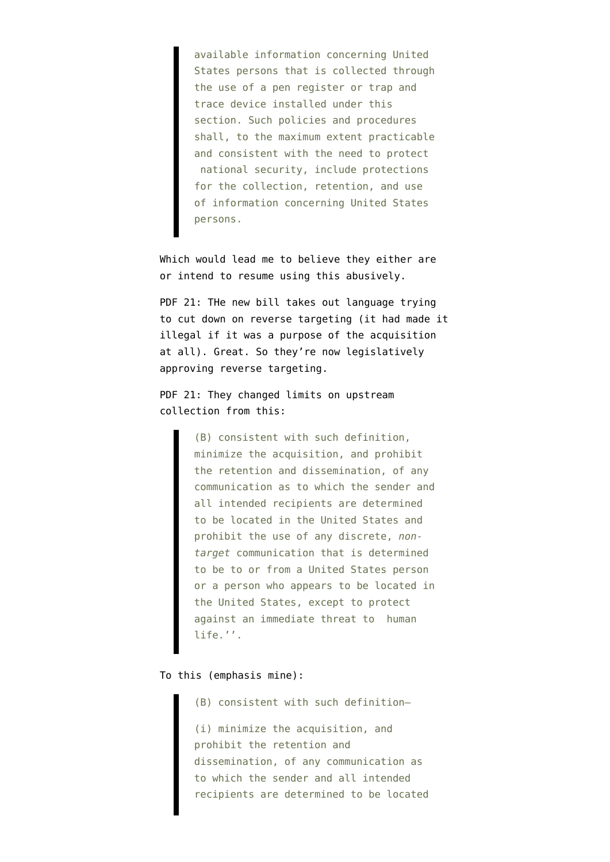available information concerning United States persons that is collected through the use of a pen register or trap and trace device installed under this section. Such policies and procedures shall, to the maximum extent practicable and consistent with the need to protect national security, include protections for the collection, retention, and use of information concerning United States persons.

Which would lead me to believe they either are or intend to resume using this abusively.

PDF 21: THe new bill takes out language trying to cut down on reverse targeting (it had made it illegal if it was a purpose of the acquisition at all). Great. So they're now legislatively approving reverse targeting.

PDF 21: They changed limits on upstream collection from this:

> (B) consistent with such definition, minimize the acquisition, and prohibit the retention and dissemination, of any communication as to which the sender and all intended recipients are determined to be located in the United States and prohibit the use of any discrete, *nontarget* communication that is determined to be to or from a United States person or a person who appears to be located in the United States, except to protect against an immediate threat to human life.''.

## To this (emphasis mine):

(B) consistent with such definition—

(i) minimize the acquisition, and prohibit the retention and dissemination, of any communication as to which the sender and all intended recipients are determined to be located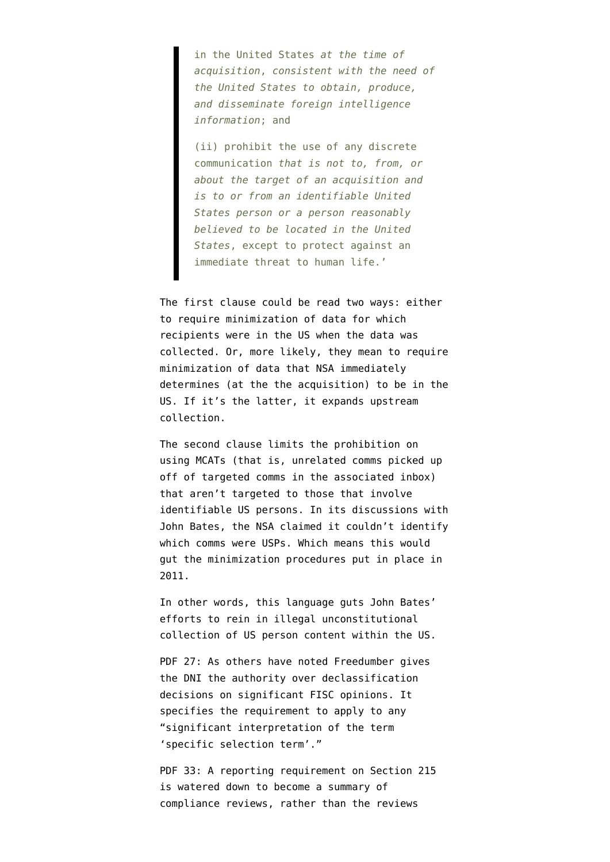in the United States *at the time of acquisition*, *consistent with the need of the United States to obtain, produce, and disseminate foreign intelligence information*; and

(ii) prohibit the use of any discrete communication *that is not to, from, or about the target of an acquisition and is to or from an identifiable United States person or a person reasonably believed to be located in the United States*, except to protect against an immediate threat to human life.'

The first clause could be read two ways: either to require minimization of data for which recipients were in the US when the data was collected. Or, more likely, they mean to require minimization of data that NSA immediately determines (at the the acquisition) to be in the US. If it's the latter, it expands upstream collection.

The second clause limits the prohibition on using MCATs (that is, unrelated comms picked up off of targeted comms in the associated inbox) that aren't targeted to those that involve identifiable US persons. In its discussions with John Bates, the NSA claimed it couldn't identify which comms were USPs. Which means this would gut the minimization procedures put in place in 2011.

In other words, this language guts John Bates' efforts to rein in illegal unconstitutional collection of US person content within the US.

PDF 27: As others have noted Freedumber gives the DNI the authority over declassification decisions on significant FISC opinions. It specifies the requirement to apply to any "significant interpretation of the term 'specific selection term'."

PDF 33: A reporting requirement on Section 215 is watered down to become a summary of compliance reviews, rather than the reviews